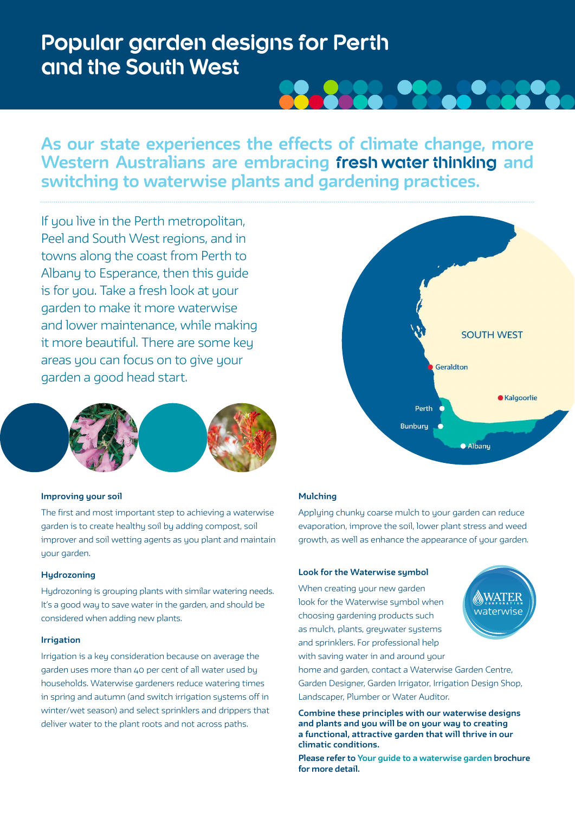# **Popular garden designs for Perth and the South West**

## **As our state experiences the effects of climate change, more Western Australians are embracing fresh water thinking and switching to waterwise plants and gardening practices.**

If you live in the Perth metropolitan, Peel and South West regions, and in towns along the coast from Perth to Albany to Esperance, then this guide is for you. Take a fresh look at your garden to make it more waterwise and lower maintenance, while making it more beautiful. There are some key areas you can focus on to give your garden a good head start.



#### **Improving your soil**

The first and most important step to achieving a waterwise garden is to create healthy soil by adding compost, soil improver and soil wetting agents as you plant and maintain uour garden.

### **Hydrozoning**

Hydrozoning is grouping plants with similar watering needs. It's a good way to save water in the garden, and should be considered when adding new plants.

#### **Irrigation**

Irrigation is a key consideration because on average the garden uses more than 40 per cent of all water used by households. Waterwise gardeners reduce watering times in spring and autumn (and switch irrigation systems off in winter/wet season) and select sprinklers and drippers that deliver water to the plant roots and not across paths.



#### **Mulching**

Applying chunky coarse mulch to your garden can reduce evaporation, improve the soil, lower plant stress and weed growth, as well as enhance the appearance of your garden.

#### **Look for the Waterwise symbol**

When creating your new garden look for the Waterwise symbol when choosing gardening products such as mulch, plants, greywater systems and sprinklers. For professional help with saving water in and around your



home and garden, contact a Waterwise Garden Centre, Garden Designer, Garden Irrigator, Irrigation Design Shop, Landscaper, Plumber or Water Auditor.

**Combine these principles with our waterwise designs and plants and you will be on your way to creating a functional, attractive garden that will thrive in our climatic conditions.** 

**Please refer to Your guide to a waterwise garden brochure for more detail.**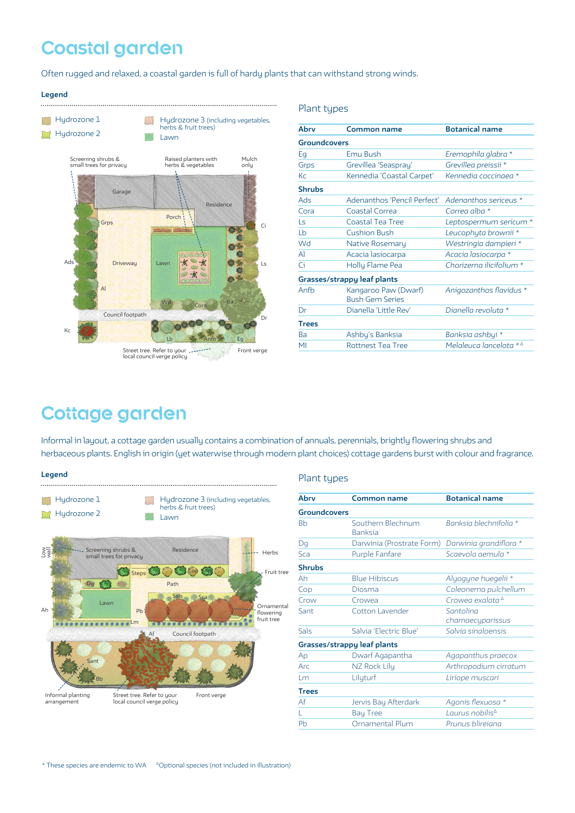# **Coastal garden**

Often rugged and relaxed, a coastal garden is full of hardy plants that can withstand strong winds.

#### **Legend**



|                                                | <b>Botanical name</b>                  |
|------------------------------------------------|----------------------------------------|
| <b>Groundcovers</b>                            |                                        |
| Emu Bush                                       | Eremophila glabra *                    |
| Grevillea 'Seaspray'                           | Grevillea preissii *                   |
| Kennedia 'Coastal Carpet'                      | Kennedia coccinaea *                   |
|                                                |                                        |
|                                                | Adenanthos sericeus *                  |
| Coastal Correa                                 | Correa alba *                          |
| Coastal Tea Tree                               | Leptospermum sericum *                 |
| <b>Cushion Bush</b>                            | Leucophyta brownii *                   |
| Native Rosemary                                | Westringia dampieri *                  |
| Acacia lasiocarpa                              | Acacia lasiocarpa *                    |
| Holly Flame Pea                                | Chorizema ilicifolium *                |
| Grasses/strappy leaf plants                    |                                        |
| Kangaroo Paw (Dwarf)<br><b>Bush Gem Series</b> | Anigozanthos flavidus *                |
| Dianella 'Little Rev'                          | Dianella revoluta *                    |
|                                                |                                        |
| Ashby's Banksia                                | Banksia ashbyi *                       |
| <b>Rottnest Tea Tree</b>                       | Melaleuca lancelota $*^{\vartriangle}$ |
|                                                | Adenanthos 'Pencil Perfect'            |

## **Cottage garden**

Informal in layout, a cottage garden usually contains a combination of annuals, perennials, brightly flowering shrubs and herbaceous plants. English in origin (yet waterwise through modern plant choices) cottage gardens burst with colour and fragrance.

#### **Legend**



#### Plant types

Plant types

| Abry                 | Common name                                      | <b>Botanical name</b>         |
|----------------------|--------------------------------------------------|-------------------------------|
|                      |                                                  |                               |
| <b>Groundcovers</b>  |                                                  |                               |
| <b>B<sub>b</sub></b> | Southern Blechnum<br><b>Banksia</b>              | Banksia blechnifolia *        |
| Dq                   | Darwinia (Prostrate Form) Darwinia grandiflora * |                               |
| Sca                  | <b>Purple Fanfare</b>                            | Scaevola gemula *             |
| <b>Shrubs</b>        |                                                  |                               |
| Ah                   | <b>Blue Hibiscus</b>                             | Alyogyne huegelii *           |
| Cop                  | Diosma                                           | Coleonema pulchellum          |
| Crow                 | Crowea                                           | Croweg exalata $^{\Delta}$    |
| Sant                 | Cotton Lavender                                  | Santolina<br>chamaecyparissus |
| Sals                 | Salvia 'Flectric Blue'                           | Salvia singloensis            |
|                      | <b>Grasses/strappy leaf plants</b>               |                               |
| Ap                   | Dwarf Agapantha                                  | Agapanthus praecox            |
| Arc                  | NZ Rock Lily                                     | Arthropodium cirratum         |
| Lm                   | Lilyturf                                         | Liriope muscari               |
| <b>Trees</b>         |                                                  |                               |
| Af                   | Jervis Bay Afterdark                             | Agonis flexuosa *             |
|                      | <b>Bay Tree</b>                                  | Laurus nobilis <sup>∆</sup>   |
| Ph                   | Ornamental Plum                                  | Prunus blirejana              |
|                      |                                                  |                               |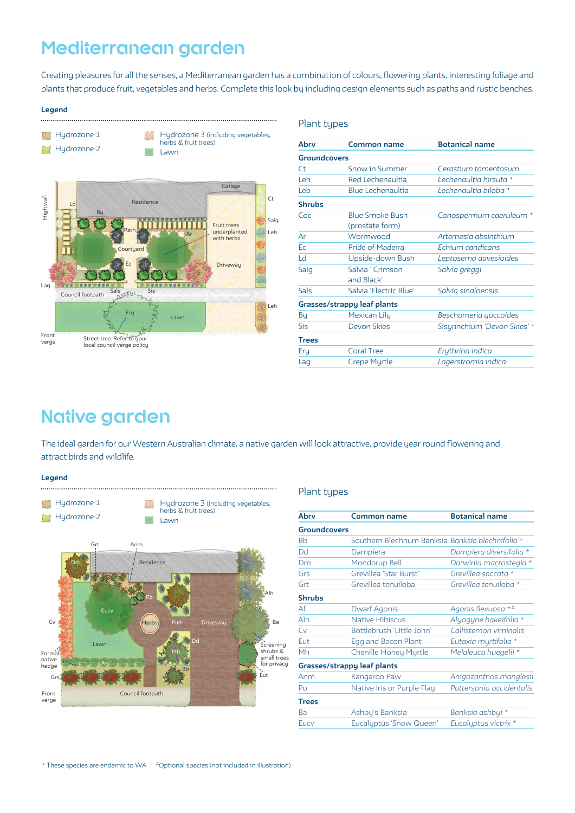## **Mediterranean garden**

Creating pleasures for all the senses, a Mediterranean garden has a combination of colours, flowering plants, interesting foliage and plants that produce fruit, vegetables and herbs. Complete this look by including design elements such as paths and rustic benches.

Plant types

#### **Legend**



| Ahry                | <b>Common name</b>                        | <b>Botanical name</b>        |
|---------------------|-------------------------------------------|------------------------------|
| <b>Groundcovers</b> |                                           |                              |
| Ct                  | Snow in Summer                            | Cerastium tomentosum         |
| l eh                | Red Lechenaultia                          | Lechenaultia hirsuta *       |
| Leb                 | <b>Blue Lechenaultia</b>                  | Lechenaultia biloba *        |
| <b>Shrubs</b>       |                                           |                              |
| Coc                 | <b>Blue Smoke Bush</b><br>(prostate form) | Conospermum caeruleum *      |
| Ar                  | Wormwood                                  | Artemesia absinthium         |
| Ec                  | Pride of Madeira                          | Echium candicans             |
| Ld                  | Upside-down Bush                          | Leptosema davesioides        |
| Salg                | Salvia ' Crimson<br>and Black'            | Salvia greggi                |
| Sals                | Salvia 'Electric Blue'                    | Salvia singloensis           |
|                     | Grasses/strappy leaf plants               |                              |
| Вų                  | Mexican Lily                              | Beschorneria yuccoides       |
| Sis                 | Devon Skies                               | Sisyrinchium 'Devon Skies' * |
| <b>Trees</b>        |                                           |                              |
| Ery                 | <b>Coral Tree</b>                         | Erythrina indica             |
| Lag                 | Crepe Myrtle                              | Lagerstromia indica          |
|                     |                                           |                              |

## **Native garden**

The ideal garden for our Western Australian climate, a native garden will look attractive, provide year round flowering and attract birds and wildlife.

**Legend**



### Plant types

| Abry                               | Common name                                      | <b>Botanical name</b>        |
|------------------------------------|--------------------------------------------------|------------------------------|
| <b>Groundcovers</b>                |                                                  |                              |
| <b>B<sub>b</sub></b>               | Southern Blechnum Banksia Banksia blechnifolia * |                              |
| Dd                                 | Dampiera                                         | Dampiera diversifolia *      |
| Dm                                 | Mondorup Bell                                    | Darwinia macrostegia *       |
| Grs                                | Grevillea 'Star Burst'                           | Grevillea saccata *          |
| Grt                                | Grevillea tenuiloba                              | Grevillea tenuiloba *        |
| <b>Shrubs</b>                      |                                                  |                              |
| Af                                 | Dwarf Agonis                                     | Agonis flexuosa $*^{\Delta}$ |
| Alh                                | <b>Native Hibiscus</b>                           | Alyogyne hakeifolia *        |
| Cv                                 | Bottlebrush 'Little John'                        | Callistemon viminalis        |
| Eut                                | Egg and Bacon Plant                              | Eutaxia myrtifolia *         |
| Mh                                 | <b>Chenille Honey Myrtle</b>                     | Melaleuca huegelii *         |
| <b>Grasses/strappy leaf plants</b> |                                                  |                              |
| Anm                                | Kangaroo Paw                                     | Anigozanthos manglesii       |
| Po                                 | Native Iris or Purple Flag                       | Pattersonia occidentalis     |
| <b>Trees</b>                       |                                                  |                              |
| Ba                                 | Ashby's Banksia                                  | Banksia ashbyi *             |
| Eucy                               | Eucalyptus 'Snow Queen'                          | Eucalyptus victrix *         |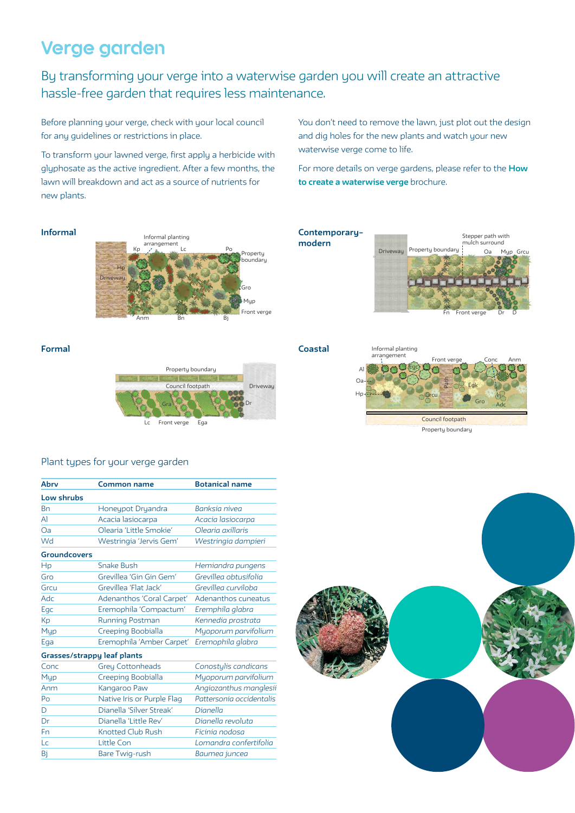# **Verge garden**

By transforming your verge into a waterwise garden you will create an attractive hassle-free garden that requires less maintenance.

Before planning your verge, check with your local council for any guidelines or restrictions in place.

To transform your lawned verge, first apply a herbicide with glyphosate as the active ingredient. After a few months, the lawn will breakdown and act as a source of nutrients for new plants.

You don't need to remove the lawn, just plot out the design and dig holes for the new plants and watch your new waterwise verge come to life.

For more details on verge gardens, please refer to the **How to create a waterwise verge** brochure.

### **Informal**



**Contemporary– modern** Driveway Property boundary Stepper path with mulch surround Oa Myp Grcu Fn Front verge Dr D

**Formal Coastal**



### Plant types for your verge garden

| Abry                        | Common name                | <b>Botanical name</b>    |
|-----------------------------|----------------------------|--------------------------|
| Low shrubs                  |                            |                          |
| Bn                          | Honeypot Dryandra          | Banksia nivea            |
| Al                          | Acacia lasiocarpa          | Acacia lasiocarpa        |
| Oa                          | Olearia 'Little Smokie'    | Olegria axillaris        |
| Wd                          | Westringia 'Jervis Gem'    | Westringia dampieri      |
| <b>Groundcovers</b>         |                            |                          |
| Hp                          | <b>Snake Bush</b>          | Hemiandra pungens        |
| Gro                         | Grevillea 'Gin Gin Gem'    | Grevillea obtusifolia    |
| Grcu                        | Grevillea 'Flat Jack'      | Grevillea curviloba      |
| <b>Adc</b>                  | Adenanthos 'Coral Carpet'  | Adenanthos cuneatus      |
| Egc                         | Eremophila 'Compactum'     | Eremphila glabra         |
| Кp                          | Running Postman            | Kennedia prostrata       |
| Myp                         | Creeping Boobialla         | Myoporum parvifolium     |
| Ega                         | Eremophila 'Amber Carpet'  | Eremophila glabra        |
| Grasses/strappy leaf plants |                            |                          |
| Conc                        | <b>Grey Cottonheads</b>    | Conostylis candicans     |
| Myp                         | Creeping Boobialla         | Myoporum parvifolium     |
| Anm                         | Kangaroo Paw               | Angiozanthus manglesii   |
| Po                          | Native Iris or Purple Flag | Pattersonia occidentalis |
| D                           | Dianella 'Silver Streak'   | Dianella                 |
| Dr                          | Dianella 'Little Rev'      | Dianella revoluta        |
| Fn                          | <b>Knotted Club Rush</b>   | Ficinia nodosa           |
| Lc                          | Little Con                 | Lomandra confertifolia   |
| Bi                          | <b>Bare Twig-rush</b>      | Baumea juncea            |